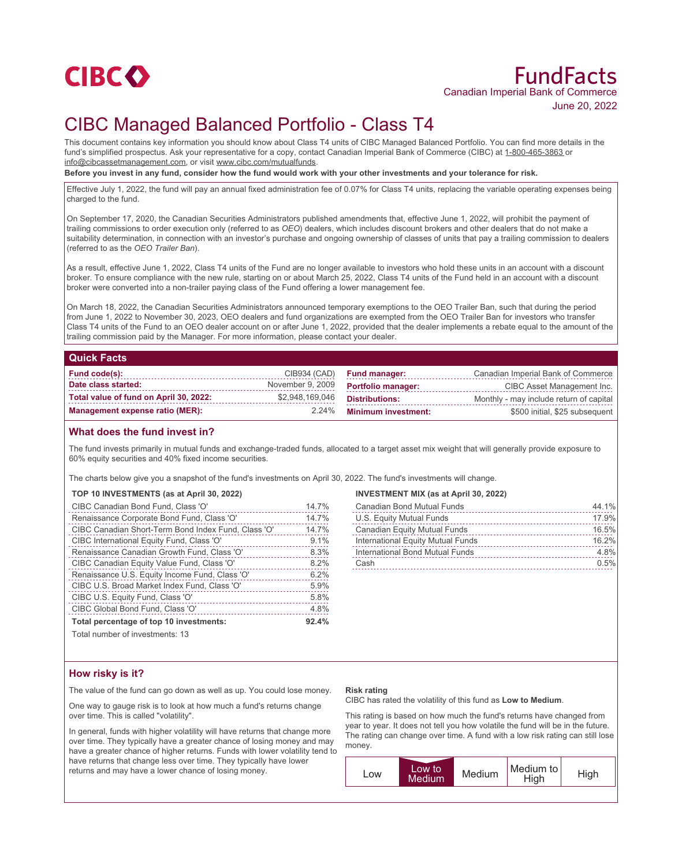

# FundFacts Canadian Imperial Bank of Commerce June 20, 2022

# CIBC Managed Balanced Portfolio - Class T4

This document contains key information you should know about Class T4 units of CIBC Managed Balanced Portfolio. You can find more details in the fund's simplified prospectus. Ask your representative for a copy, contact Canadian Imperial Bank of Commerce (CIBC) at 1-800-465-3863 or info@cibcassetmanagement.com, or visit www.cibc.com/mutualfunds.

**Before you invest in any fund, consider how the fund would work with your other investments and your tolerance for risk.**

Effective July 1, 2022, the fund will pay an annual fixed administration fee of 0.07% for Class T4 units, replacing the variable operating expenses being charged to the fund.

On September 17, 2020, the Canadian Securities Administrators published amendments that, effective June 1, 2022, will prohibit the payment of trailing commissions to order execution only (referred to as *OEO*) dealers, which includes discount brokers and other dealers that do not make a suitability determination, in connection with an investor's purchase and ongoing ownership of classes of units that pay a trailing commission to dealers (referred to as the *OEO Trailer Ban*).

As a result, effective June 1, 2022, Class T4 units of the Fund are no longer available to investors who hold these units in an account with a discount broker. To ensure compliance with the new rule, starting on or about March 25, 2022, Class T4 units of the Fund held in an account with a discount broker were converted into a non-trailer paying class of the Fund offering a lower management fee.

On March 18, 2022, the Canadian Securities Administrators announced temporary exemptions to the OEO Trailer Ban, such that during the period from June 1, 2022 to November 30, 2023, OEO dealers and fund organizations are exempted from the OEO Trailer Ban for investors who transfer Class T4 units of the Fund to an OEO dealer account on or after June 1, 2022, provided that the dealer implements a rebate equal to the amount of the trailing commission paid by the Manager. For more information, please contact your dealer.

## **Quick Facts**

| Fund code(s):                          |                  | CIB934 (CAD) Fund manager: | Canadian Imperial Bank of Commerce      |
|----------------------------------------|------------------|----------------------------|-----------------------------------------|
| Date class started:                    | November 9, 2009 | <b>Portfolio manager:</b>  | CIBC Asset Management Inc.              |
| Total value of fund on April 30, 2022: | \$2,948,169,046  | Distributions:             | Monthly - may include return of capital |
| Management expense ratio (MER):        | $2.24\%$         | <b>Minimum investment:</b> | \$500 initial, \$25 subsequent          |

# **What does the fund invest in?**

The fund invests primarily in mutual funds and exchange-traded funds, allocated to a target asset mix weight that will generally provide exposure to 60% equity securities and 40% fixed income securities.

The charts below give you a snapshot of the fund's investments on April 30, 2022. The fund's investments will change.

# **TOP 10 INVESTMENTS (as at April 30, 2022)**

| CIBC Canadian Bond Fund, Class 'O'                  | 14.7% |
|-----------------------------------------------------|-------|
| Renaissance Corporate Bond Fund, Class 'O'          | 14.7% |
| CIBC Canadian Short-Term Bond Index Fund, Class 'O' | 14.7% |
| CIBC International Equity Fund, Class 'O'           | 9.1%  |
| Renaissance Canadian Growth Fund, Class 'O'         | 8.3%  |
| CIBC Canadian Equity Value Fund, Class 'O'          | 8.2%  |
| Renaissance U.S. Equity Income Fund, Class 'O'      | 6.2%  |
| CIBC U.S. Broad Market Index Fund, Class 'O'        | 5.9%  |
| CIBC U.S. Equity Fund, Class 'O'                    | 5.8%  |
| CIBC Global Bond Fund, Class 'O'                    | 4.8%  |
| Total percentage of top 10 investments:             | 92.4% |
|                                                     |       |

Total number of investments: 13

## **INVESTMENT MIX (as at April 30, 2022)**

| <b>Canadian Bond Mutual Funds</b>   | 44.1% |
|-------------------------------------|-------|
| U.S. Equity Mutual Funds            | 17.9% |
| <b>Canadian Equity Mutual Funds</b> | 16.5% |
| International Equity Mutual Funds   | 16.2% |
| International Bond Mutual Funds     | 4.8%  |
| Cash                                | 0.5%  |

# **How risky is it?**

The value of the fund can go down as well as up. You could lose money.

One way to gauge risk is to look at how much a fund's returns change over time. This is called "volatility".

In general, funds with higher volatility will have returns that change more over time. They typically have a greater chance of losing money and may have a greater chance of higher returns. Funds with lower volatility tend to have returns that change less over time. They typically have lower returns and may have a lower chance of losing money.

### **Risk rating**

CIBC has rated the volatility of this fund as **Low to Medium**.

This rating is based on how much the fund's returns have changed from year to year. It does not tell you how volatile the fund will be in the future. The rating can change over time. A fund with a low risk rating can still lose money.

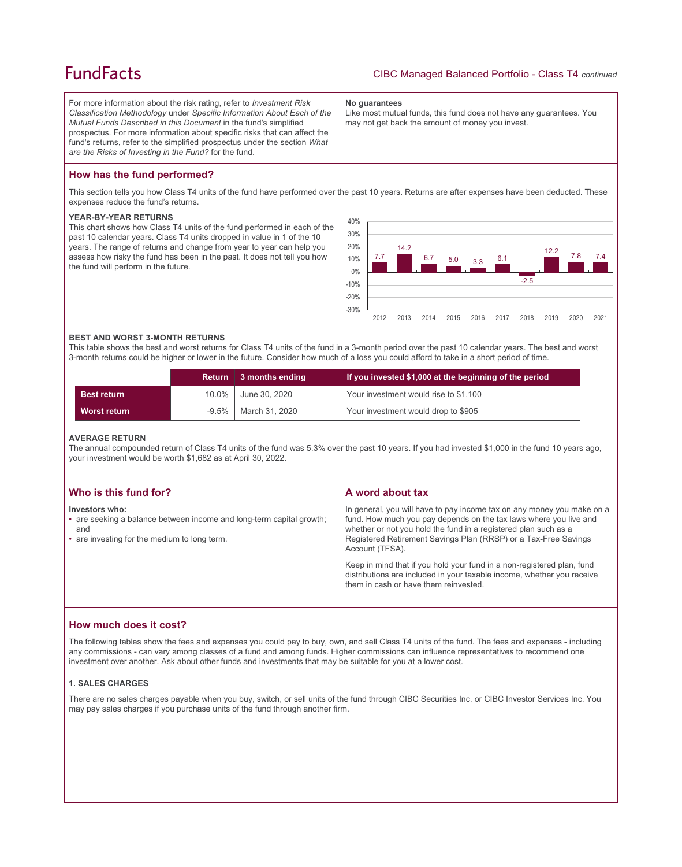# **FundFacts**

For more information about the risk rating, refer to *Investment Risk Classification Methodology* under *Specific Information About Each of the Mutual Funds Described in this Document* in the fund's simplified prospectus. For more information about specific risks that can affect the fund's returns, refer to the simplified prospectus under the section *What are the Risks of Investing in the Fund?* for the fund.

### **No guarantees**

Like most mutual funds, this fund does not have any guarantees. You may not get back the amount of money you invest.

# **How has the fund performed?**

This section tells you how Class T4 units of the fund have performed over the past 10 years. Returns are after expenses have been deducted. These expenses reduce the fund's returns.

## **YEAR-BY-YEAR RETURNS**

This chart shows how Class T4 units of the fund performed in each of the past 10 calendar years. Class T4 units dropped in value in 1 of the 10 years. The range of returns and change from year to year can help you assess how risky the fund has been in the past. It does not tell you how the fund will perform in the future.



## **BEST AND WORST 3-MONTH RETURNS**

This table shows the best and worst returns for Class T4 units of the fund in a 3-month period over the past 10 calendar years. The best and worst 3-month returns could be higher or lower in the future. Consider how much of a loss you could afford to take in a short period of time.

|                     | <b>Return</b> | 3 months ending | If you invested \$1,000 at the beginning of the period |
|---------------------|---------------|-----------------|--------------------------------------------------------|
| <b>Best return</b>  | 10.0%         | June 30, 2020   | Your investment would rise to \$1,100                  |
| <b>Worst return</b> | $-9.5\%$      | March 31, 2020  | Your investment would drop to \$905                    |

### **AVERAGE RETURN**

The annual compounded return of Class T4 units of the fund was 5.3% over the past 10 years. If you had invested \$1,000 in the fund 10 years ago, your investment would be worth \$1,682 as at April 30, 2022.

| Who is this fund for?                                                                                                                         | A word about tax                                                                                                                                                                                                                                                                                     |
|-----------------------------------------------------------------------------------------------------------------------------------------------|------------------------------------------------------------------------------------------------------------------------------------------------------------------------------------------------------------------------------------------------------------------------------------------------------|
| Investors who:<br>• are seeking a balance between income and long-term capital growth;<br>and<br>• are investing for the medium to long term. | In general, you will have to pay income tax on any money you make on a<br>fund. How much you pay depends on the tax laws where you live and<br>whether or not you hold the fund in a registered plan such as a<br>Registered Retirement Savings Plan (RRSP) or a Tax-Free Savings<br>Account (TFSA). |
|                                                                                                                                               | Keep in mind that if you hold your fund in a non-registered plan, fund<br>distributions are included in your taxable income, whether you receive<br>them in cash or have them reinvested.                                                                                                            |

# **How much does it cost?**

The following tables show the fees and expenses you could pay to buy, own, and sell Class T4 units of the fund. The fees and expenses - including any commissions - can vary among classes of a fund and among funds. Higher commissions can influence representatives to recommend one investment over another. Ask about other funds and investments that may be suitable for you at a lower cost.

## **1. SALES CHARGES**

There are no sales charges payable when you buy, switch, or sell units of the fund through CIBC Securities Inc. or CIBC Investor Services Inc. You may pay sales charges if you purchase units of the fund through another firm.